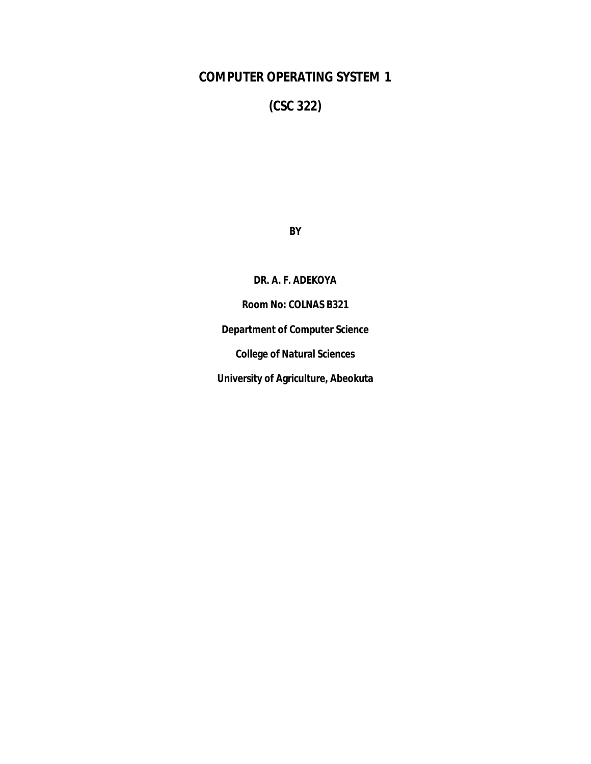# **COMPUTER OPERATING SYSTEM 1**

**(CSC 322)**

**BY**

**DR. A. F. ADEKOYA Room No: COLNAS B321 Department of Computer Science College of Natural Sciences University of Agriculture, Abeokuta**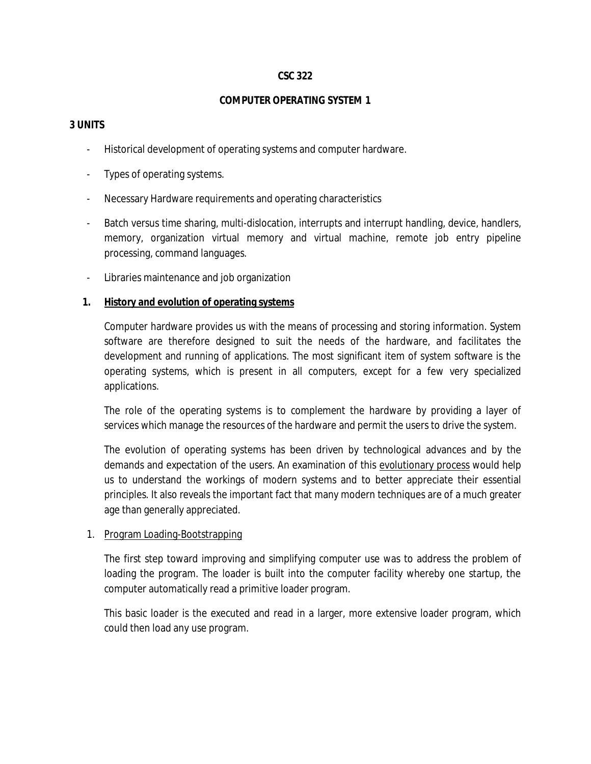#### **CSC 322**

#### **COMPUTER OPERATING SYSTEM 1**

#### **3 UNITS**

- Historical development of operating systems and computer hardware.
- Types of operating systems.
- Necessary Hardware requirements and operating characteristics
- Batch versus time sharing, multi-dislocation, interrupts and interrupt handling, device, handlers, memory, organization virtual memory and virtual machine, remote job entry pipeline processing, command languages.
- Libraries maintenance and job organization

#### **1. History and evolution of operating systems**

Computer hardware provides us with the means of processing and storing information. System software are therefore designed to suit the needs of the hardware, and facilitates the development and running of applications. The most significant item of system software is the operating systems, which is present in all computers, except for a few very specialized applications.

The role of the operating systems is to complement the hardware by providing a layer of services which manage the resources of the hardware and permit the users to drive the system.

The evolution of operating systems has been driven by technological advances and by the demands and expectation of the users. An examination of this evolutionary process would help us to understand the workings of modern systems and to better appreciate their essential principles. It also reveals the important fact that many modern techniques are of a much greater age than generally appreciated.

#### 1. Program Loading-Bootstrapping

The first step toward improving and simplifying computer use was to address the problem of loading the program. The loader is built into the computer facility whereby one startup, the computer automatically read a primitive loader program.

This basic loader is the executed and read in a larger, more extensive loader program, which could then load any use program.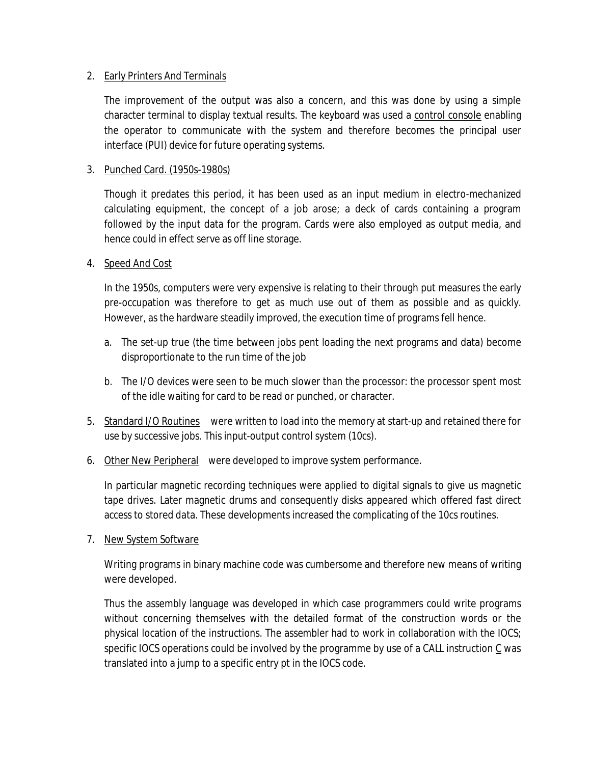### 2. Early Printers And Terminals

The improvement of the output was also a concern, and this was done by using a simple character terminal to display textual results. The keyboard was used a control console enabling the operator to communicate with the system and therefore becomes the principal user interface (PUI) device for future operating systems.

### 3. Punched Card. (1950s-1980s)

Though it predates this period, it has been used as an input medium in electro-mechanized calculating equipment, the concept of a job arose; a deck of cards containing a program followed by the input data for the program. Cards were also employed as output media, and hence could in effect serve as off line storage.

#### 4. Speed And Cost

In the 1950s, computers were very expensive is relating to their through put measures the early pre-occupation was therefore to get as much use out of them as possible and as quickly. However, as the hardware steadily improved, the execution time of programs fell hence.

- a. The set-up true (the time between jobs pent loading the next programs and data) become disproportionate to the run time of the job
- b. The I/O devices were seen to be much slower than the processor: the processor spent most of the idle waiting for card to be read or punched, or character.
- 5. Standard I/O Routines were written to load into the memory at start-up and retained there for use by successive jobs. This input-output control system (10cs).
- 6. Other New Peripheral were developed to improve system performance.

In particular magnetic recording techniques were applied to digital signals to give us magnetic tape drives. Later magnetic drums and consequently disks appeared which offered fast direct access to stored data. These developments increased the complicating of the 10cs routines.

#### 7. New System Software

Writing programs in binary machine code was cumbersome and therefore new means of writing were developed.

Thus the assembly language was developed in which case programmers could write programs without concerning themselves with the detailed format of the construction words or the physical location of the instructions. The assembler had to work in collaboration with the IOCS; specific IOCS operations could be involved by the programme by use of a CALL instruction C was translated into a jump to a specific entry pt in the IOCS code.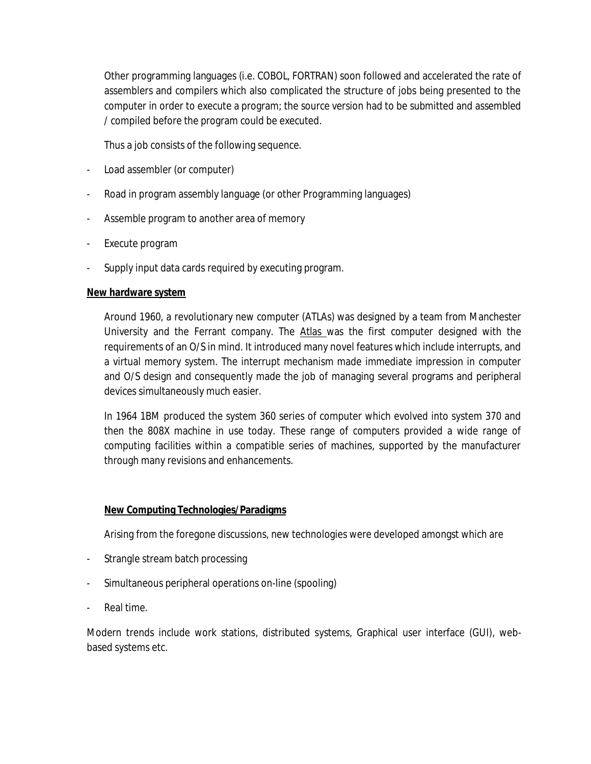Other programming languages (i.e. COBOL, FORTRAN) soon followed and accelerated the rate of assemblers and compilers which also complicated the structure of jobs being presented to the computer in order to execute a program; the source version had to be submitted and assembled / compiled before the program could be executed.

Thus a job consists of the following sequence.

- Load assembler (or computer)
- Road in program assembly language (or other Programming languages)
- Assemble program to another area of memory
- Execute program
- Supply input data cards required by executing program.

### **New hardware system**

Around 1960, a revolutionary new computer (ATLAs) was designed by a team from Manchester University and the Ferrant company. The Atlas was the first computer designed with the requirements of an O/S in mind. It introduced many novel features which include interrupts, and a virtual memory system. The interrupt mechanism made immediate impression in computer and O/S design and consequently made the job of managing several programs and peripheral devices simultaneously much easier.

In 1964 1BM produced the system 360 series of computer which evolved into system 370 and then the 808X machine in use today. These range of computers provided a wide range of computing facilities within a compatible series of machines, supported by the manufacturer through many revisions and enhancements.

## **New Computing Technologies/Paradigms**

Arising from the foregone discussions, new technologies were developed amongst which are

- Strangle stream batch processing
- Simultaneous peripheral operations on-line (spooling)
- Real time.

Modern trends include work stations, distributed systems, Graphical user interface (GUI), webbased systems etc.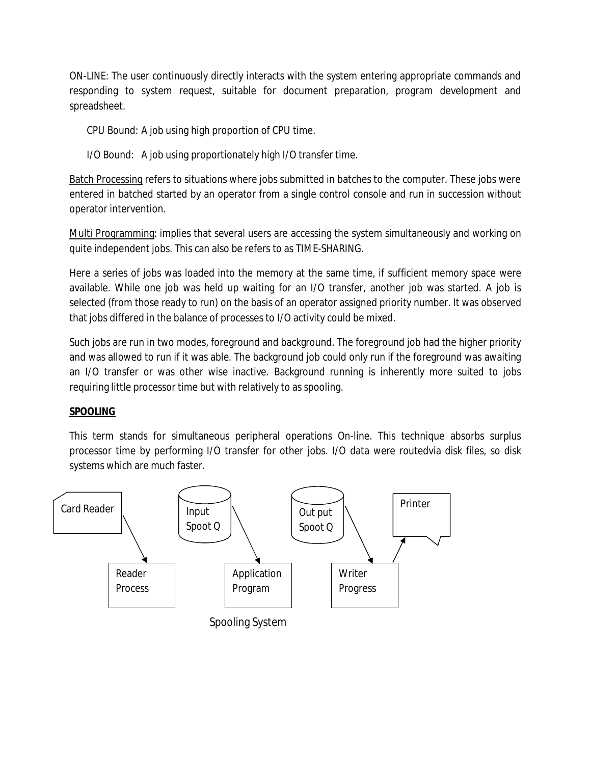ON-LINE: The user continuously directly interacts with the system entering appropriate commands and responding to system request, suitable for document preparation, program development and spreadsheet.

CPU Bound: A job using high proportion of CPU time.

I/O Bound: A job using proportionately high I/O transfer time.

Batch Processing refers to situations where jobs submitted in batches to the computer. These jobs were entered in batched started by an operator from a single control console and run in succession without operator intervention.

Multi Programming: implies that several users are accessing the system simultaneously and working on quite independent jobs. This can also be refers to as TIME-SHARING.

Here a series of jobs was loaded into the memory at the same time, if sufficient memory space were available. While one job was held up waiting for an I/O transfer, another job was started. A job is selected (from those ready to run) on the basis of an operator assigned priority number. It was observed that jobs differed in the balance of processes to I/O activity could be mixed.

Such jobs are run in two modes, foreground and background. The foreground job had the higher priority and was allowed to run if it was able. The background job could only run if the foreground was awaiting an I/O transfer or was other wise inactive. Background running is inherently more suited to jobs requiring little processor time but with relatively to as spooling.

## **SPOOLING**

This term stands for simultaneous peripheral operations On-line. This technique absorbs surplus processor time by performing I/O transfer for other jobs. I/O data were routedvia disk files, so disk systems which are much faster.

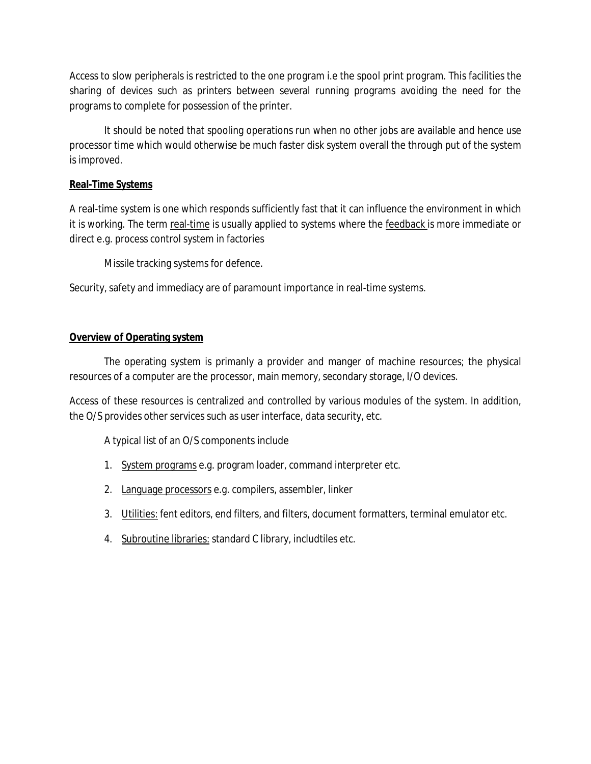Access to slow peripherals is restricted to the one program i.e the spool print program. This facilities the sharing of devices such as printers between several running programs avoiding the need for the programs to complete for possession of the printer.

It should be noted that spooling operations run when no other jobs are available and hence use processor time which would otherwise be much faster disk system overall the through put of the system is improved.

## **Real-Time Systems**

A real-time system is one which responds sufficiently fast that it can influence the environment in which it is working. The term real-time is usually applied to systems where the feedback is more immediate or direct e.g. process control system in factories

Missile tracking systems for defence.

Security, safety and immediacy are of paramount importance in real-time systems.

### **Overview of Operating system**

The operating system is primanly a provider and manger of machine resources; the physical resources of a computer are the processor, main memory, secondary storage, I/O devices.

Access of these resources is centralized and controlled by various modules of the system. In addition, the O/S provides other services such as user interface, data security, etc.

A typical list of an O/S components include

- 1. System programs e.g. program loader, command interpreter etc.
- 2. Language processors e.g. compilers, assembler, linker
- 3. Utilities: fent editors, end filters, and filters, document formatters, terminal emulator etc.
- 4. Subroutine libraries: standard C library, includtiles etc.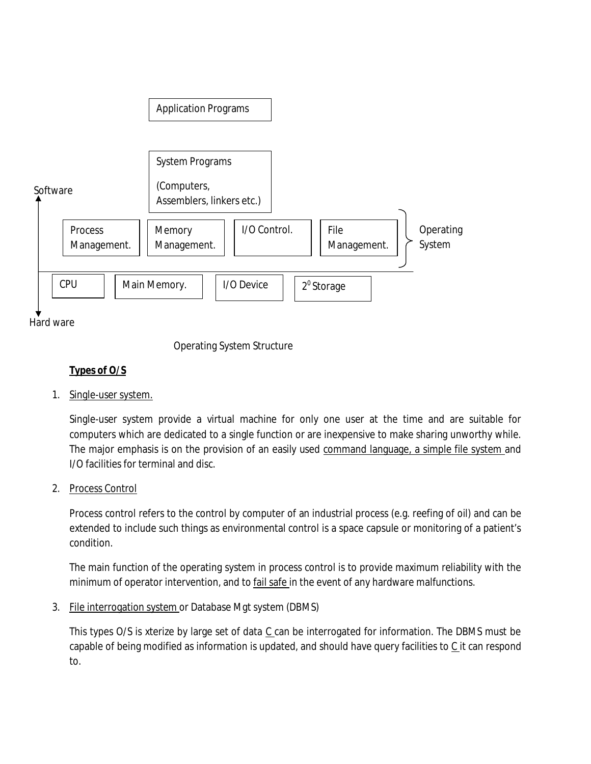

Hard ware

Operating System Structure

## **Types of O/S**

1. Single-user system.

Single-user system provide a virtual machine for only one user at the time and are suitable for computers which are dedicated to a single function or are inexpensive to make sharing unworthy while. The major emphasis is on the provision of an easily used command language, a simple file system and I/O facilities for terminal and disc.

2. Process Control

Process control refers to the control by computer of an industrial process (e.g. reefing of oil) and can be extended to include such things as environmental control is a space capsule or monitoring of a patient's condition.

The main function of the operating system in process control is to provide maximum reliability with the minimum of operator intervention, and to fail safe in the event of any hardware malfunctions.

3. File interrogation system or Database Mgt system (DBMS)

This types  $O/S$  is xterize by large set of data  $C$  can be interrogated for information. The DBMS must be capable of being modified as information is updated, and should have query facilities to  $C$  it can respond to.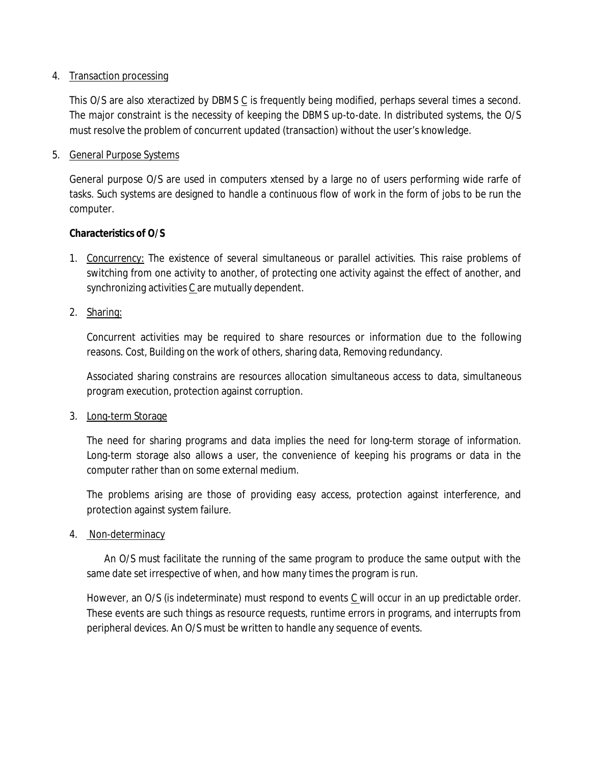#### 4. Transaction processing

This O/S are also xteractized by DBMS  $C$  is frequently being modified, perhaps several times a second. The major constraint is the necessity of keeping the DBMS up-to-date. In distributed systems, the O/S must resolve the problem of concurrent updated (transaction) without the user's knowledge.

#### 5. General Purpose Systems

General purpose O/S are used in computers xtensed by a large no of users performing wide rarfe of tasks. Such systems are designed to handle a continuous flow of work in the form of jobs to be run the computer.

#### **Characteristics of O/S**

- 1. Concurrency: The existence of several simultaneous or parallel activities. This raise problems of switching from one activity to another, of protecting one activity against the effect of another, and synchronizing activities C are mutually dependent.
- 2. Sharing:

Concurrent activities may be required to share resources or information due to the following reasons. Cost, Building on the work of others, sharing data, Removing redundancy.

Associated sharing constrains are resources allocation simultaneous access to data, simultaneous program execution, protection against corruption.

3. Long-term Storage

The need for sharing programs and data implies the need for long-term storage of information. Long-term storage also allows a user, the convenience of keeping his programs or data in the computer rather than on some external medium.

The problems arising are those of providing easy access, protection against interference, and protection against system failure.

4. Non-determinacy

An O/S must facilitate the running of the same program to produce the same output with the same date set irrespective of when, and how many times the program is run.

However, an O/S (is indeterminate) must respond to events  $C$  will occur in an up predictable order. These events are such things as resource requests, runtime errors in programs, and interrupts from peripheral devices. An O/S must be written to handle any sequence of events.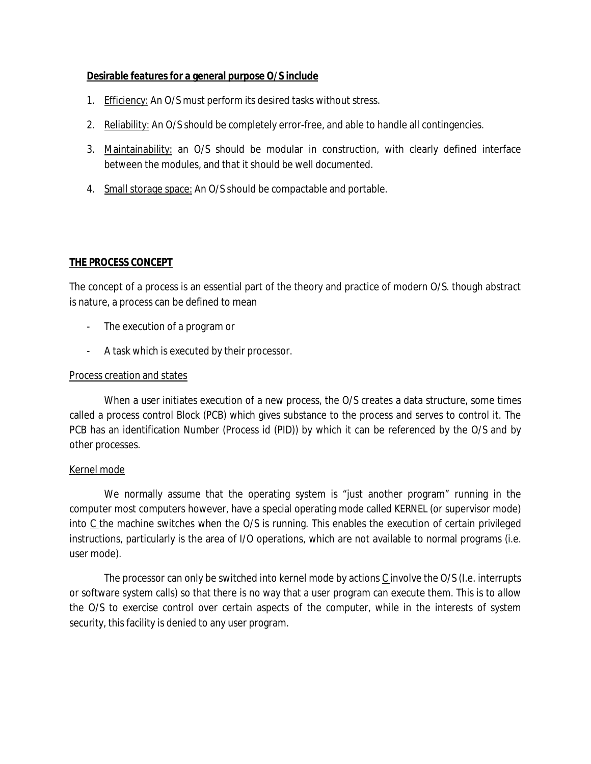#### **Desirable features for a general purpose O/S include**

- 1. Efficiency: An O/S must perform its desired tasks without stress.
- 2. Reliability: An O/S should be completely error-free, and able to handle all contingencies.
- 3. Maintainability: an O/S should be modular in construction, with clearly defined interface between the modules, and that it should be well documented.
- 4. Small storage space: An O/S should be compactable and portable.

#### **THE PROCESS CONCEPT**

The concept of a process is an essential part of the theory and practice of modern O/S. though abstract is nature, a process can be defined to mean

- The execution of a program or
- A task which is executed by their processor.

#### Process creation and states

When a user initiates execution of a new process, the O/S creates a data structure, some times called a process control Block (PCB) which gives substance to the process and serves to control it. The PCB has an identification Number (Process id (PID)) by which it can be referenced by the O/S and by other processes.

#### Kernel mode

We normally assume that the operating system is "just another program" running in the computer most computers however, have a special operating mode called KERNEL (or supervisor mode) into  $C$  the machine switches when the O/S is running. This enables the execution of certain privileged instructions, particularly is the area of I/O operations, which are not available to normal programs (i.e. user mode).

The processor can only be switched into kernel mode by actions  $C$  involve the O/S (I.e. interrupts or software system calls) so that there is no way that a user program can execute them. This is to allow the O/S to exercise control over certain aspects of the computer, while in the interests of system security, this facility is denied to any user program.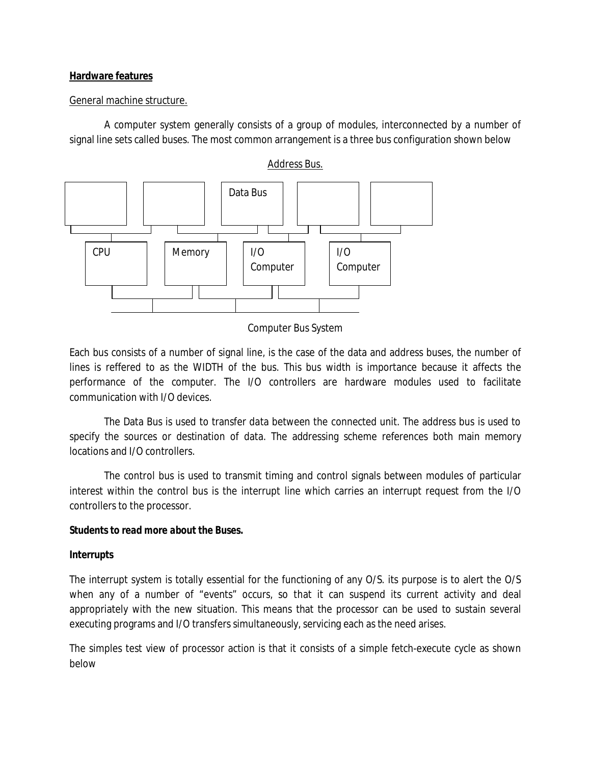#### **Hardware features**

#### General machine structure.

A computer system generally consists of a group of modules, interconnected by a number of signal line sets called buses. The most common arrangement is a three bus configuration shown below



Computer Bus System

Each bus consists of a number of signal line, is the case of the data and address buses, the number of lines is reffered to as the WIDTH of the bus. This bus width is importance because it affects the performance of the computer. The I/O controllers are hardware modules used to facilitate communication with I/O devices.

The Data Bus is used to transfer data between the connected unit. The address bus is used to specify the sources or destination of data. The addressing scheme references both main memory locations and I/O controllers.

The control bus is used to transmit timing and control signals between modules of particular interest within the control bus is the interrupt line which carries an interrupt request from the I/O controllers to the processor.

#### *Students to read more about the Buses.*

#### *Interrupts*

The interrupt system is totally essential for the functioning of any O/S. its purpose is to alert the O/S when any of a number of "events" occurs, so that it can suspend its current activity and deal appropriately with the new situation. This means that the processor can be used to sustain several executing programs and I/O transfers simultaneously, servicing each as the need arises.

The simples test view of processor action is that it consists of a simple fetch-execute cycle as shown below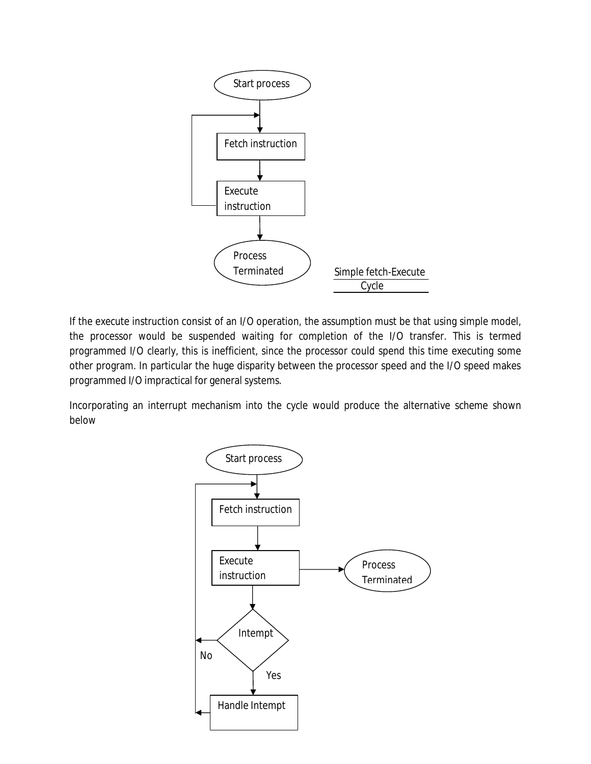

If the execute instruction consist of an I/O operation, the assumption must be that using simple model, the processor would be suspended waiting for completion of the I/O transfer. This is termed programmed I/O clearly, this is inefficient, since the processor could spend this time executing some other program. In particular the huge disparity between the processor speed and the I/O speed makes programmed I/O impractical for general systems.

Incorporating an interrupt mechanism into the cycle would produce the alternative scheme shown below

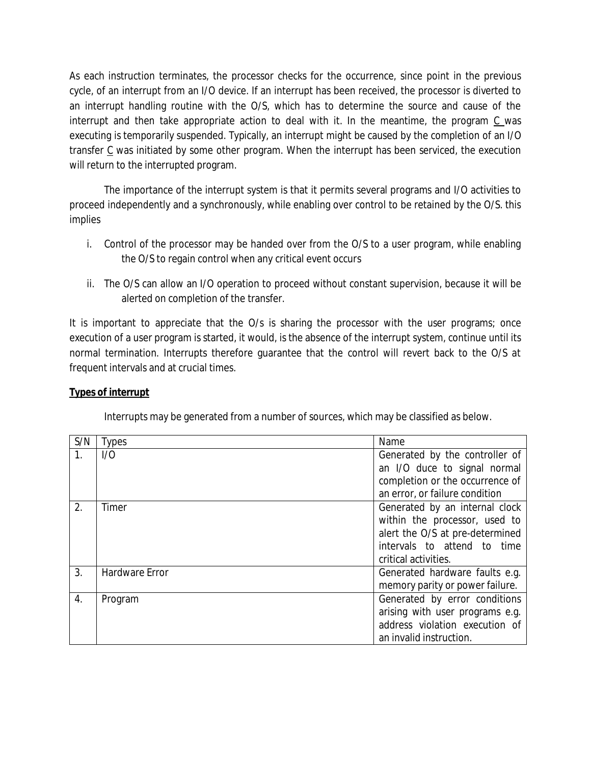As each instruction terminates, the processor checks for the occurrence, since point in the previous cycle, of an interrupt from an I/O device. If an interrupt has been received, the processor is diverted to an interrupt handling routine with the O/S, which has to determine the source and cause of the interrupt and then take appropriate action to deal with it. In the meantime, the program C was executing is temporarily suspended. Typically, an interrupt might be caused by the completion of an I/O transfer C was initiated by some other program. When the interrupt has been serviced, the execution will return to the interrupted program.

The importance of the interrupt system is that it permits several programs and I/O activities to proceed independently and a synchronously, while enabling over control to be retained by the O/S. this implies

- i. Control of the processor may be handed over from the O/S to a user program, while enabling the O/S to regain control when any critical event occurs
- ii. The O/S can allow an I/O operation to proceed without constant supervision, because it will be alerted on completion of the transfer.

It is important to appreciate that the O/s is sharing the processor with the user programs; once execution of a user program is started, it would, is the absence of the interrupt system, continue until its normal termination. Interrupts therefore guarantee that the control will revert back to the O/S at frequent intervals and at crucial times.

## **Types of interrupt**

Interrupts may be generated from a number of sources, which may be classified as below.

| S/N              | Types                 | Name                            |
|------------------|-----------------------|---------------------------------|
| 1.               | 1/0                   | Generated by the controller of  |
|                  |                       | an I/O duce to signal normal    |
|                  |                       | completion or the occurrence of |
|                  |                       | an error, or failure condition  |
| $\overline{2}$ . | Timer                 | Generated by an internal clock  |
|                  |                       | within the processor, used to   |
|                  |                       | alert the O/S at pre-determined |
|                  |                       | intervals to attend to time     |
|                  |                       | critical activities.            |
| 3.               | <b>Hardware Error</b> | Generated hardware faults e.g.  |
|                  |                       | memory parity or power failure. |
| $\overline{4}$ . | Program               | Generated by error conditions   |
|                  |                       | arising with user programs e.g. |
|                  |                       | address violation execution of  |
|                  |                       | an invalid instruction.         |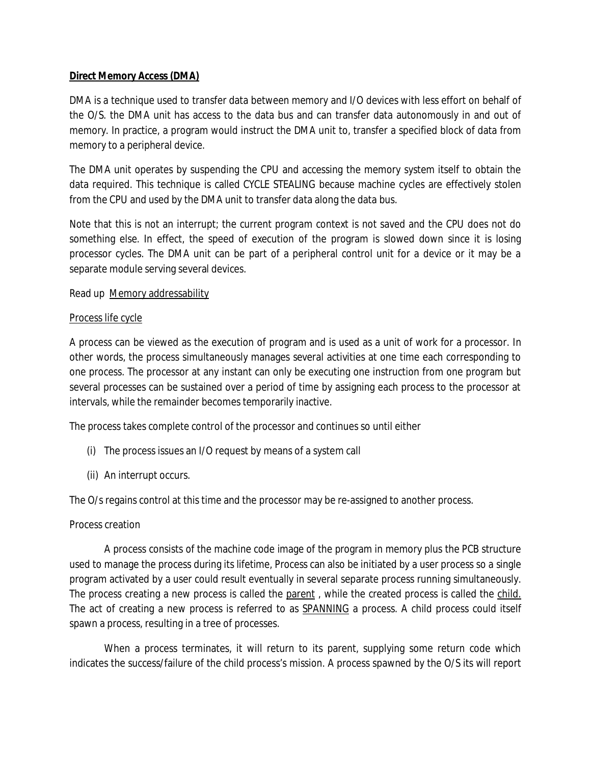### **Direct Memory Access (DMA)**

DMA is a technique used to transfer data between memory and I/O devices with less effort on behalf of the O/S. the DMA unit has access to the data bus and can transfer data autonomously in and out of memory. In practice, a program would instruct the DMA unit to, transfer a specified block of data from memory to a peripheral device.

The DMA unit operates by suspending the CPU and accessing the memory system itself to obtain the data required. This technique is called CYCLE STEALING because machine cycles are effectively stolen from the CPU and used by the DMA unit to transfer data along the data bus.

Note that this is not an interrupt; the current program context is not saved and the CPU does not do something else. In effect, the speed of execution of the program is slowed down since it is losing processor cycles. The DMA unit can be part of a peripheral control unit for a device or it may be a separate module serving several devices.

### Read up Memory addressability

### Process life cycle

A process can be viewed as the execution of program and is used as a unit of work for a processor. In other words, the process simultaneously manages several activities at one time each corresponding to one process. The processor at any instant can only be executing one instruction from one program but several processes can be sustained over a period of time by assigning each process to the processor at intervals, while the remainder becomes temporarily inactive.

The process takes complete control of the processor and continues so until either

- (i) The process issues an I/O request by means of a system call
- (ii) An interrupt occurs.

The O/s regains control at this time and the processor may be re-assigned to another process.

#### Process creation

A process consists of the machine code image of the program in memory plus the PCB structure used to manage the process during its lifetime, Process can also be initiated by a user process so a single program activated by a user could result eventually in several separate process running simultaneously. The process creating a new process is called the parent, while the created process is called the child. The act of creating a new process is referred to as SPANNING a process. A child process could itself spawn a process, resulting in a tree of processes.

When a process terminates, it will return to its parent, supplying some return code which indicates the success/failure of the child process's mission. A process spawned by the O/S its will report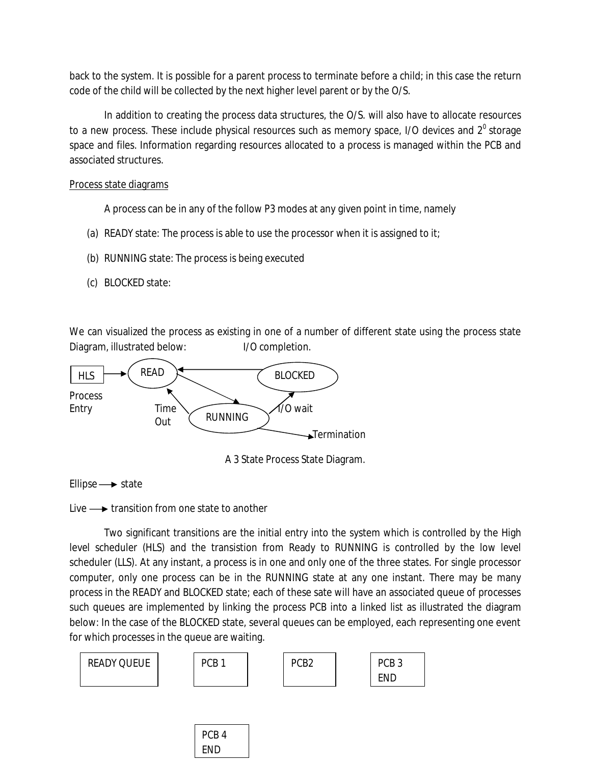back to the system. It is possible for a parent process to terminate before a child; in this case the return code of the child will be collected by the next higher level parent or by the O/S.

In addition to creating the process data structures, the O/S. will also have to allocate resources to a new process. These include physical resources such as memory space,  $1/O$  devices and  $2^{\circ}$  storage space and files. Information regarding resources allocated to a process is managed within the PCB and associated structures.

Process state diagrams

A process can be in any of the follow P3 modes at any given point in time, namely

- (a) READY state: The process is able to use the processor when it is assigned to it;
- (b) RUNNING state: The process is being executed
- (c) BLOCKED state:

We can visualized the process as existing in one of a number of different state using the process state Diagram, illustrated below: I/O completion.



A 3 State Process State Diagram.

Ellipse  $\rightarrow$  state

Live  $\longrightarrow$  transition from one state to another

Two significant transitions are the initial entry into the system which is controlled by the High level scheduler (HLS) and the transistion from Ready to RUNNING is controlled by the low level scheduler (LLS). At any instant, a process is in one and only one of the three states. For single processor computer, only one process can be in the RUNNING state at any one instant. There may be many process in the READY and BLOCKED state; each of these sate will have an associated queue of processes such queues are implemented by linking the process PCB into a linked list as illustrated the diagram below: In the case of the BLOCKED state, several queues can be employed, each representing one event for which processes in the queue are waiting.



END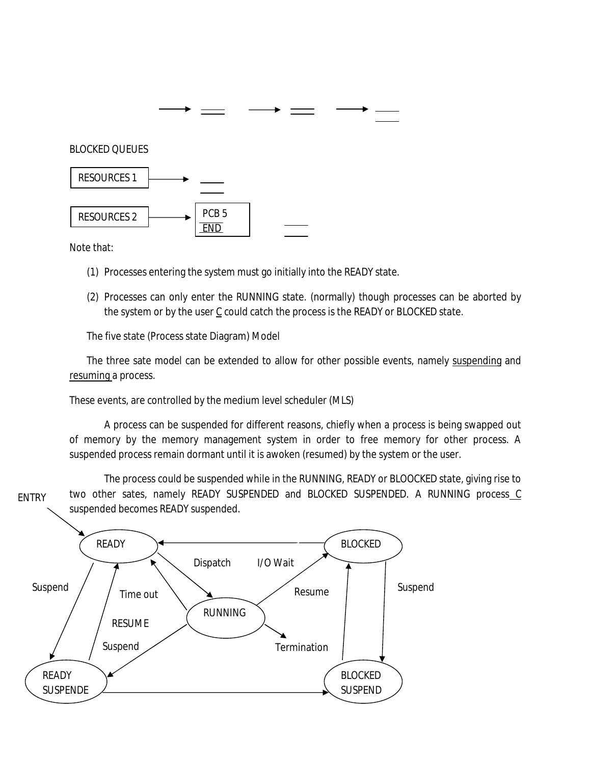

Note that:

- (1) Processes entering the system must go initially into the READY state.
- (2) Processes can only enter the RUNNING state. (normally) though processes can be aborted by the system or by the user  $C$  could catch the process is the READY or BLOCKED state.

The five state (Process state Diagram) Model

The three sate model can be extended to allow for other possible events, namely suspending and resuming a process.

These events, are controlled by the medium level scheduler (MLS)

A process can be suspended for different reasons, chiefly when a process is being swapped out of memory by the memory management system in order to free memory for other process. A suspended process remain dormant until it is awoken (resumed) by the system or the user.

The process could be suspended while in the RUNNING, READY or BLOOCKED state, giving rise to two other sates, namely READY SUSPENDED and BLOCKED SUSPENDED. A RUNNING process C suspended becomes READY suspended. ENTRY

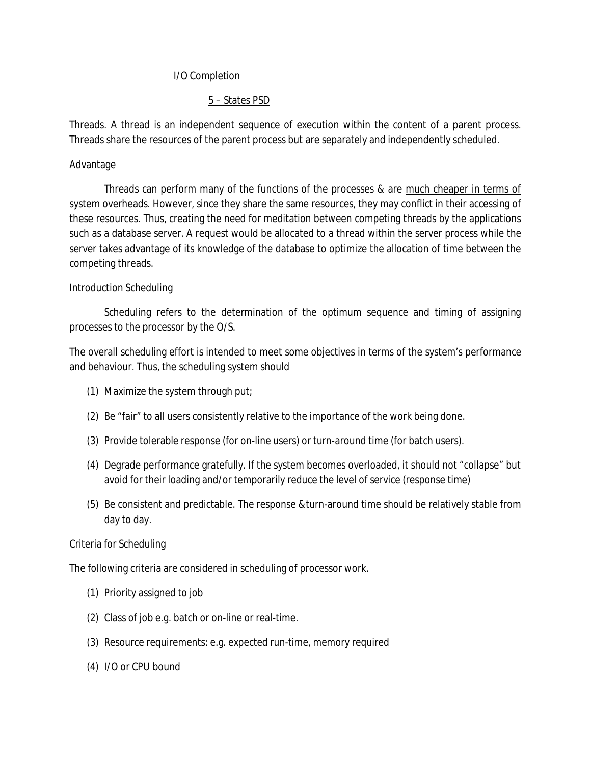### I/O Completion

## 5 – States PSD

Threads. A thread is an independent sequence of execution within the content of a parent process. Threads share the resources of the parent process but are separately and independently scheduled.

### Advantage

Threads can perform many of the functions of the processes & are much cheaper in terms of system overheads. However, since they share the same resources, they may conflict in their accessing of these resources. Thus, creating the need for meditation between competing threads by the applications such as a database server. A request would be allocated to a thread within the server process while the server takes advantage of its knowledge of the database to optimize the allocation of time between the competing threads.

### Introduction Scheduling

Scheduling refers to the determination of the optimum sequence and timing of assigning processes to the processor by the O/S.

The overall scheduling effort is intended to meet some objectives in terms of the system's performance and behaviour. Thus, the scheduling system should

- (1) Maximize the system through put;
- (2) Be "fair" to all users consistently relative to the importance of the work being done.
- (3) Provide tolerable response (for on-line users) or turn-around time (for batch users).
- (4) Degrade performance gratefully. If the system becomes overloaded, it should not "collapse" but avoid for their loading and/or temporarily reduce the level of service (response time)
- (5) Be consistent and predictable. The response &turn-around time should be relatively stable from day to day.

#### Criteria for Scheduling

The following criteria are considered in scheduling of processor work.

- (1) Priority assigned to job
- (2) Class of job e.g. batch or on-line or real-time.
- (3) Resource requirements: e.g. expected run-time, memory required
- (4) I/O or CPU bound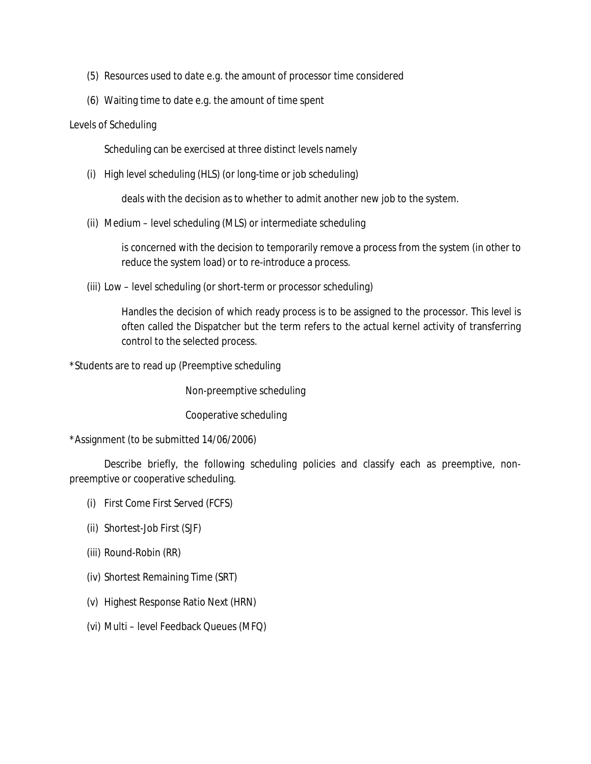- (5) Resources used to date e.g. the amount of processor time considered
- (6) Waiting time to date e.g. the amount of time spent

#### Levels of Scheduling

Scheduling can be exercised at three distinct levels namely

(i) High level scheduling (HLS) (or long-time or job scheduling)

deals with the decision as to whether to admit another new job to the system.

(ii) Medium – level scheduling (MLS) or intermediate scheduling

is concerned with the decision to temporarily remove a process from the system (in other to reduce the system load) or to re-introduce a process.

(iii) Low – level scheduling (or short-term or processor scheduling)

Handles the decision of which ready process is to be assigned to the processor. This level is often called the Dispatcher but the term refers to the actual kernel activity of transferring control to the selected process.

\*Students are to read up (Preemptive scheduling

Non-preemptive scheduling

Cooperative scheduling

\*Assignment (to be submitted 14/06/2006)

Describe briefly, the following scheduling policies and classify each as preemptive, nonpreemptive or cooperative scheduling.

- (i) First Come First Served (FCFS)
- (ii) Shortest-Job First (SJF)
- (iii) Round-Robin (RR)
- (iv) Shortest Remaining Time (SRT)
- (v) Highest Response Ratio Next (HRN)
- (vi) Multi level Feedback Queues (MFQ)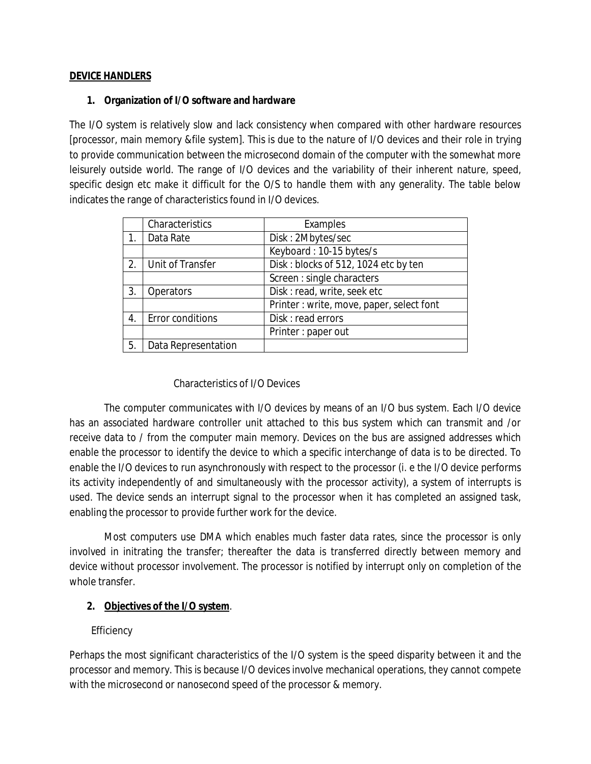### **DEVICE HANDLERS**

### **1. Organization of I/O software and hardware**

The I/O system is relatively slow and lack consistency when compared with other hardware resources [processor, main memory &file system]. This is due to the nature of I/O devices and their role in trying to provide communication between the microsecond domain of the computer with the somewhat more leisurely outside world. The range of I/O devices and the variability of their inherent nature, speed, specific design etc make it difficult for the O/S to handle them with any generality. The table below indicates the range of characteristics found in I/O devices.

|    | Characteristics     | Examples                                 |
|----|---------------------|------------------------------------------|
|    | Data Rate           | Disk: 2Mbytes/sec                        |
|    |                     | Keyboard: 10-15 bytes/s                  |
| 2. | Unit of Transfer    | Disk: blocks of 512, 1024 etc by ten     |
|    |                     | Screen : single characters               |
| 3. | <b>Operators</b>    | Disk: read, write, seek etc              |
|    |                     | Printer: write, move, paper, select font |
| 4. | Error conditions    | Disk: read errors                        |
|    |                     | Printer: paper out                       |
| 5. | Data Representation |                                          |

## Characteristics of I/O Devices

The computer communicates with I/O devices by means of an I/O bus system. Each I/O device has an associated hardware controller unit attached to this bus system which can transmit and /or receive data to / from the computer main memory. Devices on the bus are assigned addresses which enable the processor to identify the device to which a specific interchange of data is to be directed. To enable the I/O devices to run asynchronously with respect to the processor (i. e the I/O device performs its activity independently of and simultaneously with the processor activity), a system of interrupts is used. The device sends an interrupt signal to the processor when it has completed an assigned task, enabling the processor to provide further work for the device.

Most computers use DMA which enables much faster data rates, since the processor is only involved in initrating the transfer; thereafter the data is transferred directly between memory and device without processor involvement. The processor is notified by interrupt only on completion of the whole transfer.

## **2. Objectives of the I/O system**.

## **Efficiency**

Perhaps the most significant characteristics of the I/O system is the speed disparity between it and the processor and memory. This is because I/O devices involve mechanical operations, they cannot compete with the microsecond or nanosecond speed of the processor & memory.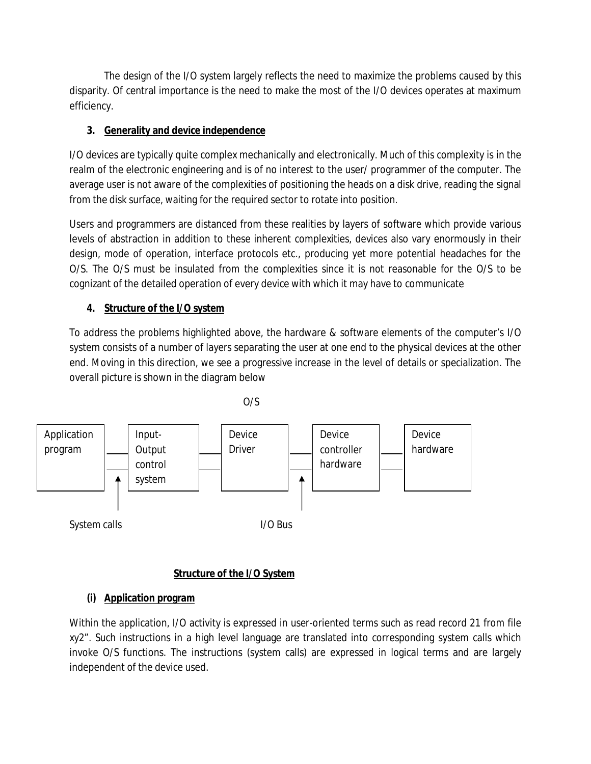The design of the I/O system largely reflects the need to maximize the problems caused by this disparity. Of central importance is the need to make the most of the I/O devices operates at maximum efficiency.

# **3. Generality and device independence**

I/O devices are typically quite complex mechanically and electronically. Much of this complexity is in the realm of the electronic engineering and is of no interest to the user/ programmer of the computer. The average user is not aware of the complexities of positioning the heads on a disk drive, reading the signal from the disk surface, waiting for the required sector to rotate into position.

Users and programmers are distanced from these realities by layers of software which provide various levels of abstraction in addition to these inherent complexities, devices also vary enormously in their design, mode of operation, interface protocols etc., producing yet more potential headaches for the O/S. The O/S must be insulated from the complexities since it is not reasonable for the O/S to be cognizant of the detailed operation of every device with which it may have to communicate

# **4. Structure of the I/O system**

To address the problems highlighted above, the hardware & software elements of the computer's I/O system consists of a number of layers separating the user at one end to the physical devices at the other end. Moving in this direction, we see a progressive increase in the level of details or specialization. The overall picture is shown in the diagram below



## **Structure of the I/O System**

# **(i) Application program**

Within the application, I/O activity is expressed in user-oriented terms such as read record 21 from file xy2". Such instructions in a high level language are translated into corresponding system calls which invoke O/S functions. The instructions (system calls) are expressed in logical terms and are largely independent of the device used.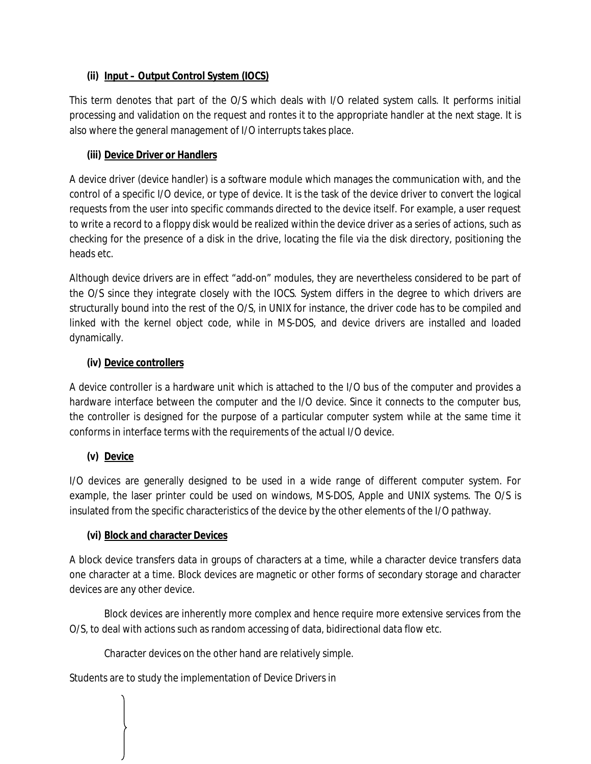## **(ii) Input – Output Control System (IOCS)**

This term denotes that part of the O/S which deals with I/O related system calls. It performs initial processing and validation on the request and rontes it to the appropriate handler at the next stage. It is also where the general management of I/O interrupts takes place.

## **(iii) Device Driver or Handlers**

A device driver (device handler) is a software module which manages the communication with, and the control of a specific I/O device, or type of device. It is the task of the device driver to convert the logical requests from the user into specific commands directed to the device itself. For example, a user request to write a record to a floppy disk would be realized within the device driver as a series of actions, such as checking for the presence of a disk in the drive, locating the file via the disk directory, positioning the heads etc.

Although device drivers are in effect "add-on" modules, they are nevertheless considered to be part of the O/S since they integrate closely with the IOCS. System differs in the degree to which drivers are structurally bound into the rest of the O/S, in UNIX for instance, the driver code has to be compiled and linked with the kernel object code, while in MS-DOS, and device drivers are installed and loaded dynamically.

## **(iv) Device controllers**

A device controller is a hardware unit which is attached to the I/O bus of the computer and provides a hardware interface between the computer and the I/O device. Since it connects to the computer bus, the controller is designed for the purpose of a particular computer system while at the same time it conforms in interface terms with the requirements of the actual I/O device.

## **(v) Device**

I/O devices are generally designed to be used in a wide range of different computer system. For example, the laser printer could be used on windows, MS-DOS, Apple and UNIX systems. The O/S is insulated from the specific characteristics of the device by the other elements of the I/O pathway.

## **(vi) Block and character Devices**

A block device transfers data in groups of characters at a time, while a character device transfers data one character at a time. Block devices are magnetic or other forms of secondary storage and character devices are any other device.

Block devices are inherently more complex and hence require more extensive services from the O/S, to deal with actions such as random accessing of data, bidirectional data flow etc.

Character devices on the other hand are relatively simple.

Students are to study the implementation of Device Drivers in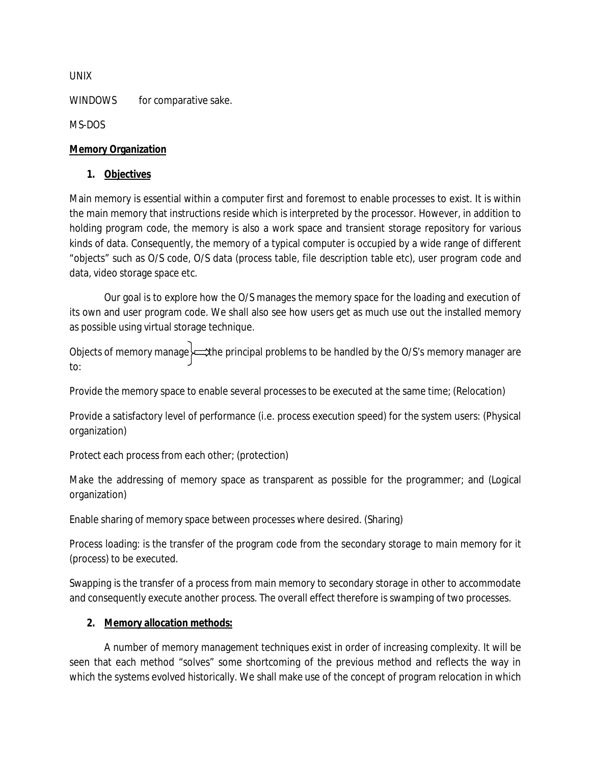UNIX

WINDOWS for comparative sake.

MS-DOS

## **Memory Organization**

### **1. Objectives**

Main memory is essential within a computer first and foremost to enable processes to exist. It is within the main memory that instructions reside which is interpreted by the processor. However, in addition to holding program code, the memory is also a work space and transient storage repository for various kinds of data. Consequently, the memory of a typical computer is occupied by a wide range of different "objects" such as O/S code, O/S data (process table, file description table etc), user program code and data, video storage space etc.

Our goal is to explore how the O/S manages the memory space for the loading and execution of its own and user program code. We shall also see how users get as much use out the installed memory as possible using virtual storage technique.

Objects of memory manage the principal problems to be handled by the O/S's memory manager are to:

Provide the memory space to enable several processes to be executed at the same time; (Relocation)

Provide a satisfactory level of performance (i.e. process execution speed) for the system users: (Physical organization)

Protect each process from each other; (protection)

Make the addressing of memory space as transparent as possible for the programmer; and (Logical organization)

Enable sharing of memory space between processes where desired. (Sharing)

Process loading: is the transfer of the program code from the secondary storage to main memory for it (process) to be executed.

Swapping is the transfer of a process from main memory to secondary storage in other to accommodate and consequently execute another process. The overall effect therefore is swamping of two processes.

## **2. Memory allocation methods:**

A number of memory management techniques exist in order of increasing complexity. It will be seen that each method "solves" some shortcoming of the previous method and reflects the way in which the systems evolved historically. We shall make use of the concept of program relocation in which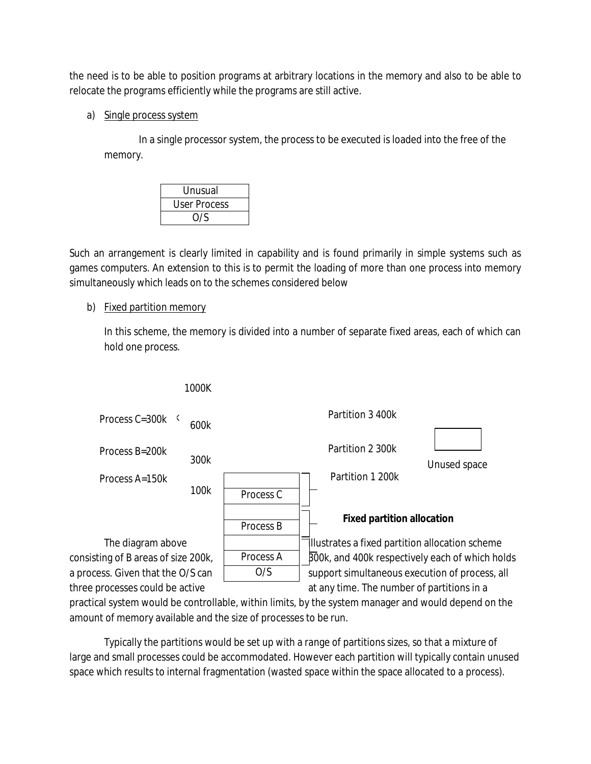the need is to be able to position programs at arbitrary locations in the memory and also to be able to relocate the programs efficiently while the programs are still active.

a) Single process system

In a single processor system, the process to be executed is loaded into the free of the memory.

| Unusual             |  |
|---------------------|--|
| <b>User Process</b> |  |
| O/S                 |  |

Such an arrangement is clearly limited in capability and is found primarily in simple systems such as games computers. An extension to this is to permit the loading of more than one process into memory simultaneously which leads on to the schemes considered below

## b) Fixed partition memory

In this scheme, the memory is divided into a number of separate fixed areas, each of which can hold one process.



practical system would be controllable, within limits, by the system manager and would depend on the amount of memory available and the size of processes to be run.

Typically the partitions would be set up with a range of partitions sizes, so that a mixture of large and small processes could be accommodated. However each partition will typically contain unused space which results to internal fragmentation (wasted space within the space allocated to a process).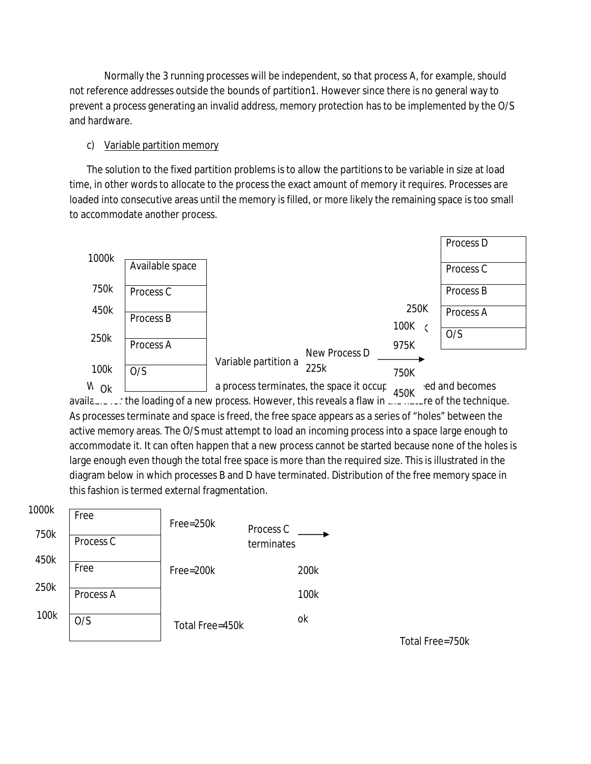Normally the 3 running processes will be independent, so that process A, for example, should not reference addresses outside the bounds of partition1. However since there is no general way to prevent a process generating an invalid address, memory protection has to be implemented by the O/S and hardware.

## c) Variable partition memory

The solution to the fixed partition problems is to allow the partitions to be variable in size at load time, in other words to allocate to the process the exact amount of memory it requires. Processes are loaded into consecutive areas until the memory is filled, or more likely the remaining space is too small to accommodate another process.



When  $\leq$  a process terminates, the space it occupied and becomes  $\leq$  450K and becomes the space it of the space is a space it of the space it of the space it of the space it of the space it of the space it of the spac availa $\ldots$ ,  $\ldots$  the loading of a new process. However, this reveals a flaw in  $\ldots$   $\ldots$  and  $\ldots$  of the technique. As processes terminate and space is freed, the free space appears as a series of "holes" between the active memory areas. The O/S must attempt to load an incoming process into a space large enough to accommodate it. It can often happen that a new process cannot be started because none of the holes is large enough even though the total free space is more than the required size. This is illustrated in the diagram below in which processes B and D have terminated. Distribution of the free memory space in this fashion is termed external fragmentation.



Total Free=750k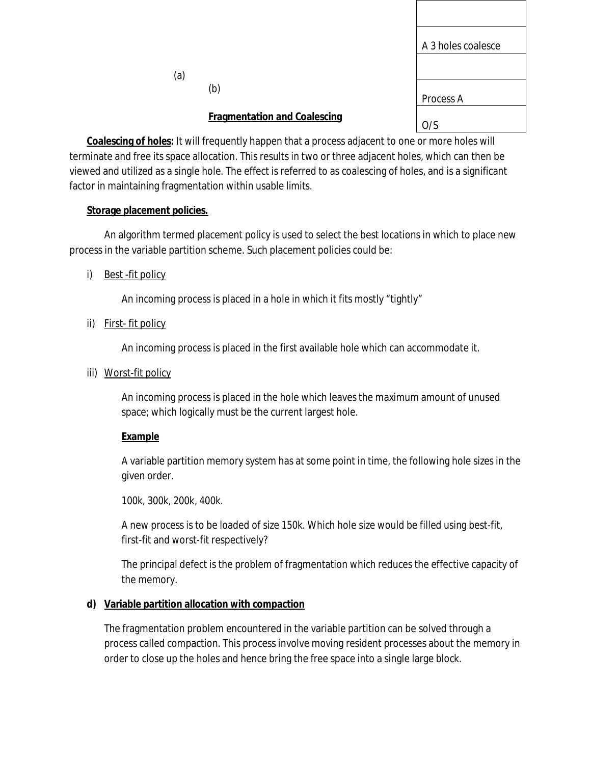|     |                                                                                                                                                                                                                                   | A 3 holes coalesce |
|-----|-----------------------------------------------------------------------------------------------------------------------------------------------------------------------------------------------------------------------------------|--------------------|
| (a) |                                                                                                                                                                                                                                   |                    |
|     | (b)                                                                                                                                                                                                                               | Process A          |
|     | <b>Fragmentation and Coalescing</b>                                                                                                                                                                                               | O/S                |
|     | $\mathbf{r}$ , and the substitutional contract of the substitution of the substitution of the substitution of the substitution of the substitution of the substitution of the substitution of the substitution of the substitutio |                    |

**Coalescing of holes:** It will frequently happen that a process adjacent to one or more holes will terminate and free its space allocation. This results in two or three adjacent holes, which can then be viewed and utilized as a single hole. The effect is referred to as coalescing of holes, and is a significant factor in maintaining fragmentation within usable limits.

## **Storage placement policies.**

An algorithm termed placement policy is used to select the best locations in which to place new process in the variable partition scheme. Such placement policies could be:

i) Best -fit policy

An incoming process is placed in a hole in which it fits mostly "tightly"

ii) First- fit policy

An incoming process is placed in the first available hole which can accommodate it.

iii) Worst-fit policy

An incoming process is placed in the hole which leaves the maximum amount of unused space; which logically must be the current largest hole.

## **Example**

A variable partition memory system has at some point in time, the following hole sizes in the given order.

100k, 300k, 200k, 400k.

A new process is to be loaded of size 150k. Which hole size would be filled using best-fit, first-fit and worst-fit respectively?

The principal defect is the problem of fragmentation which reduces the effective capacity of the memory.

## **d) Variable partition allocation with compaction**

The fragmentation problem encountered in the variable partition can be solved through a process called compaction. This process involve moving resident processes about the memory in order to close up the holes and hence bring the free space into a single large block.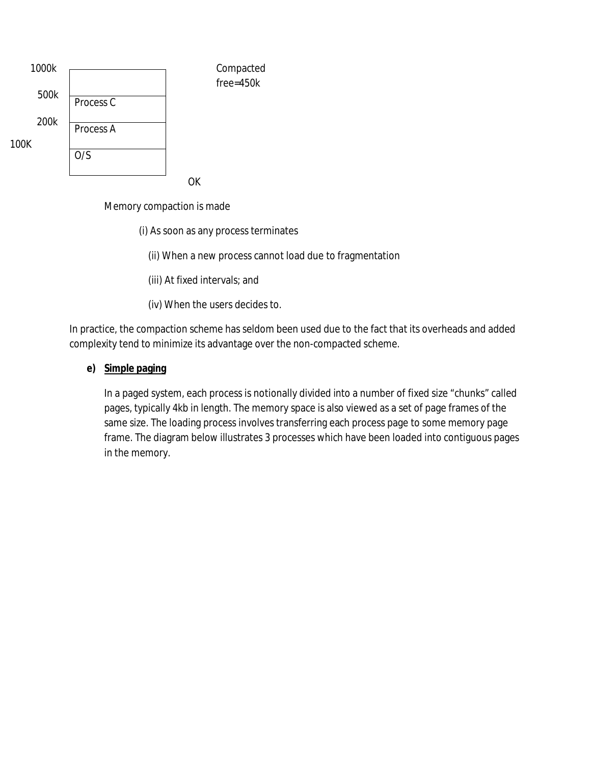

Memory compaction is made

(i) As soon as any process terminates

(ii) When a new process cannot load due to fragmentation

(iii) At fixed intervals; and

(iv) When the users decides to.

In practice, the compaction scheme has seldom been used due to the fact that its overheads and added complexity tend to minimize its advantage over the non-compacted scheme.

#### **e) Simple paging**

In a paged system, each process is notionally divided into a number of fixed size "chunks" called pages, typically 4kb in length. The memory space is also viewed as a set of page frames of the same size. The loading process involves transferring each process page to some memory page frame. The diagram below illustrates 3 processes which have been loaded into contiguous pages in the memory.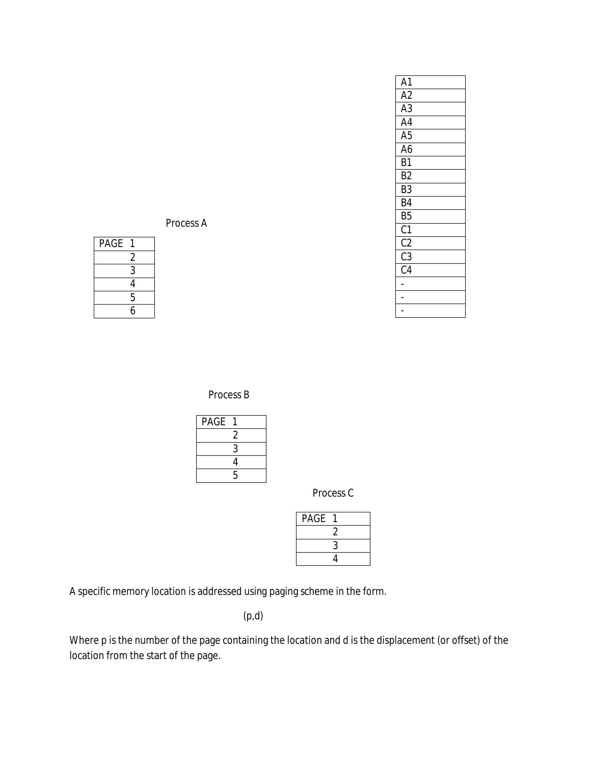| Α1              |  |
|-----------------|--|
| A <sub>2</sub>  |  |
| $\overline{A3}$ |  |
| A <sub>4</sub>  |  |
| A <sub>5</sub>  |  |
| A6              |  |
| B <sub>1</sub>  |  |
| B2              |  |
| B3              |  |
| B4              |  |
| B <sub>5</sub>  |  |
| C <sub>1</sub>  |  |
| $\overline{c}$  |  |
| $\overline{c}3$ |  |
| $\overline{C4}$ |  |
|                 |  |
|                 |  |
|                 |  |
|                 |  |

Process A

| PAGE |   |
|------|---|
|      | 2 |
|      | 3 |
|      | 4 |
|      | 5 |
|      | 6 |

Process B

| PAGE |   |
|------|---|
|      | 2 |
|      | 3 |
|      | 4 |
|      | 5 |

Process C

| <b>PAGE</b> |   |  |
|-------------|---|--|
|             |   |  |
|             | 3 |  |
|             | 4 |  |

A specific memory location is addressed using paging scheme in the form.

(p,d)

Where p is the number of the page containing the location and d is the displacement (or offset) of the location from the start of the page.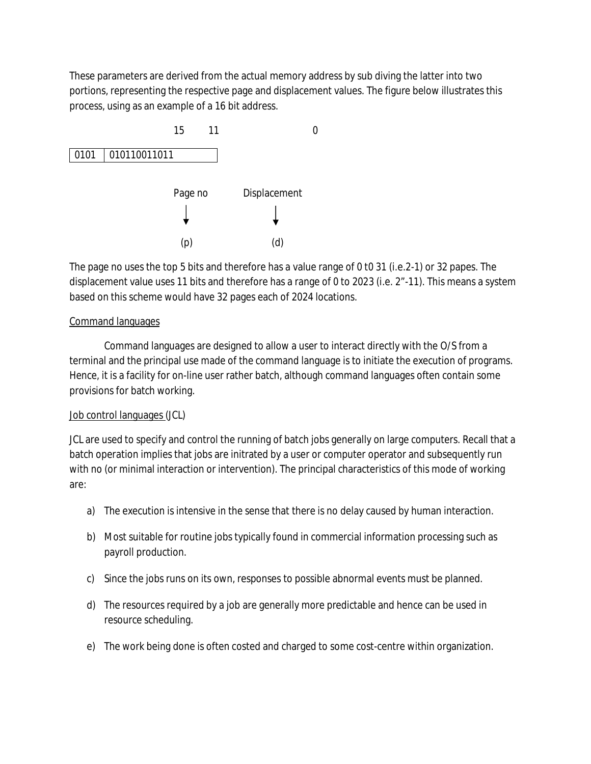These parameters are derived from the actual memory address by sub diving the latter into two portions, representing the respective page and displacement values. The figure below illustrates this process, using as an example of a 16 bit address.



The page no uses the top 5 bits and therefore has a value range of 0 t0 31 (i.e.2-1) or 32 papes. The displacement value uses 11 bits and therefore has a range of 0 to 2023 (i.e. 2"-11). This means a system based on this scheme would have 32 pages each of 2024 locations.

## Command languages

Command languages are designed to allow a user to interact directly with the O/S from a terminal and the principal use made of the command language is to initiate the execution of programs. Hence, it is a facility for on-line user rather batch, although command languages often contain some provisions for batch working.

#### Job control languages (JCL)

JCL are used to specify and control the running of batch jobs generally on large computers. Recall that a batch operation implies that jobs are initrated by a user or computer operator and subsequently run with no (or minimal interaction or intervention). The principal characteristics of this mode of working are:

- a) The execution is intensive in the sense that there is no delay caused by human interaction.
- b) Most suitable for routine jobs typically found in commercial information processing such as payroll production.
- c) Since the jobs runs on its own, responses to possible abnormal events must be planned.
- d) The resources required by a job are generally more predictable and hence can be used in resource scheduling.
- e) The work being done is often costed and charged to some cost-centre within organization.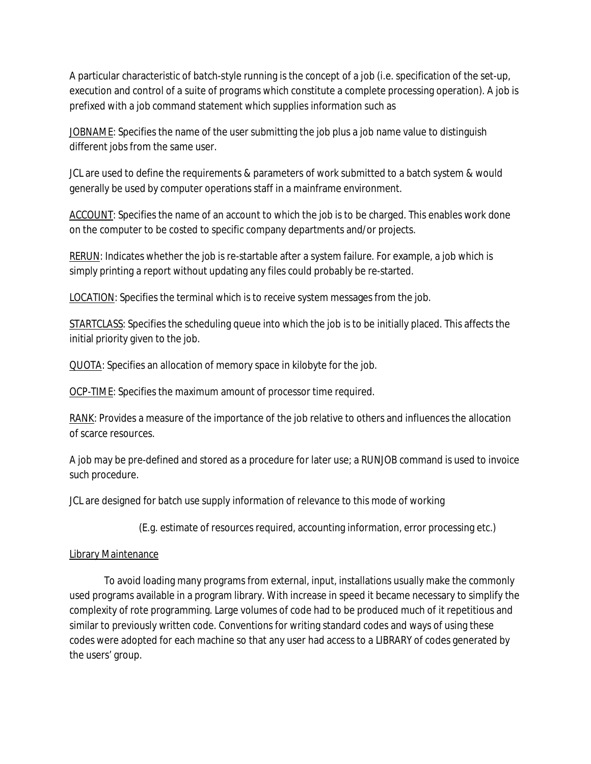A particular characteristic of batch-style running is the concept of a job (i.e. specification of the set-up, execution and control of a suite of programs which constitute a complete processing operation). A job is prefixed with a job command statement which supplies information such as

JOBNAME: Specifies the name of the user submitting the job plus a job name value to distinguish different jobs from the same user.

JCL are used to define the requirements & parameters of work submitted to a batch system & would generally be used by computer operations staff in a mainframe environment.

ACCOUNT: Specifies the name of an account to which the job is to be charged. This enables work done on the computer to be costed to specific company departments and/or projects.

RERUN: Indicates whether the job is re-startable after a system failure. For example, a job which is simply printing a report without updating any files could probably be re-started.

LOCATION: Specifies the terminal which is to receive system messages from the job.

STARTCLASS: Specifies the scheduling queue into which the job is to be initially placed. This affects the initial priority given to the job.

QUOTA: Specifies an allocation of memory space in kilobyte for the job.

OCP-TIME: Specifies the maximum amount of processor time required.

RANK: Provides a measure of the importance of the job relative to others and influences the allocation of scarce resources.

A job may be pre-defined and stored as a procedure for later use; a RUNJOB command is used to invoice such procedure.

JCL are designed for batch use supply information of relevance to this mode of working

(E.g. estimate of resources required, accounting information, error processing etc.)

## Library Maintenance

To avoid loading many programs from external, input, installations usually make the commonly used programs available in a program library. With increase in speed it became necessary to simplify the complexity of rote programming. Large volumes of code had to be produced much of it repetitious and similar to previously written code. Conventions for writing standard codes and ways of using these codes were adopted for each machine so that any user had access to a LIBRARY of codes generated by the users' group.